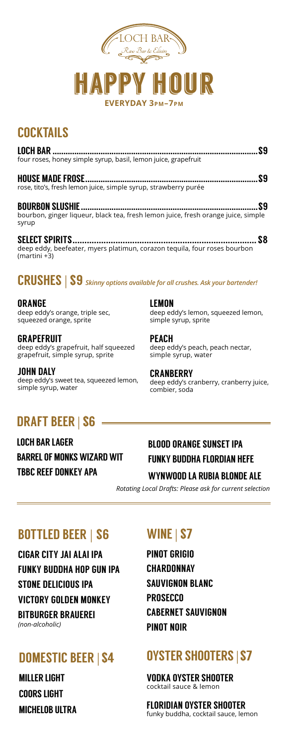

# **COCKTAILS**

| LOCH BAR                                                                                   | 92 |
|--------------------------------------------------------------------------------------------|----|
| four roses, honey simple syrup, basil, lemon juice, grapefruit                             |    |
| <b>HOUSE MADE FROSE.</b>                                                                   | 59 |
| rose, tito's, fresh lemon juice, simple syrup, strawberry purée                            |    |
| <b>BOURBON SLUSHIE</b>                                                                     | 59 |
| bourbon, ginger liqueur, black tea, fresh lemon juice, fresh orange juice, simple<br>syrup |    |
|                                                                                            |    |

deep eddy, beefeater, myers platimun, corazon tequila, four roses bourbon (martini +3)

### CRUSHES | \$9 *Skinny options available for all crushes. Ask your bartender!*

ORANGE deep eddy's orange, triple sec, squeezed orange, sprite

GRAPEFRUIT deep eddy's grapefruit, half squeezed grapefruit, simple syrup, sprite

JOHN DALY deep eddy's sweet tea, squeezed lemon, simple syrup, water

# DRAFT BEER | \$6

LOCH BAR LAGER BARREL OF MONKS WIZARD WIT TBBC REEF DONKEY APA

#### LEMON

deep eddy's lemon, squeezed lemon, simple syrup, sprite

**PFACH** deep eddy's peach, peach nectar, simple syrup, water

**CRANBERRY** deep eddy's cranberry, cranberry juice, combier, soda

### BLOOD ORANGE SUNSET IPA FUNKY BUDDHA FLORDIAN HEFE

#### WYNWOOD LA RUBIA BLONDE ALE

 *Rotating Local Drafts: Please ask for current selection*

## BOTTLED BEER | \$6

CIGAR CITY JAI ALAI IPA FUNKY BUDDHA HOP GUN IPA STONE DELICIOUS IPA VICTORY GOLDEN MONKEY BITBURGER BRAUEREI *(non-alcoholic)*

## DOMESTIC BEER | \$4

MILLER LIGHT COORS LIGHT MICHELOB ULTRA

# WINE| \$7

PINOT GRIGIO **CHARDONNAY** SAUVIGNON BLANC **PROSECCO** CABERNET SAUVIGNON PINOT NOIR

## OYSTER SHOOTERS | \$7

VODKA OYSTER SHOOTER cocktail sauce & lemon

FLORIDIAN OYSTER SHOOTER funky buddha, cocktail sauce, lemon